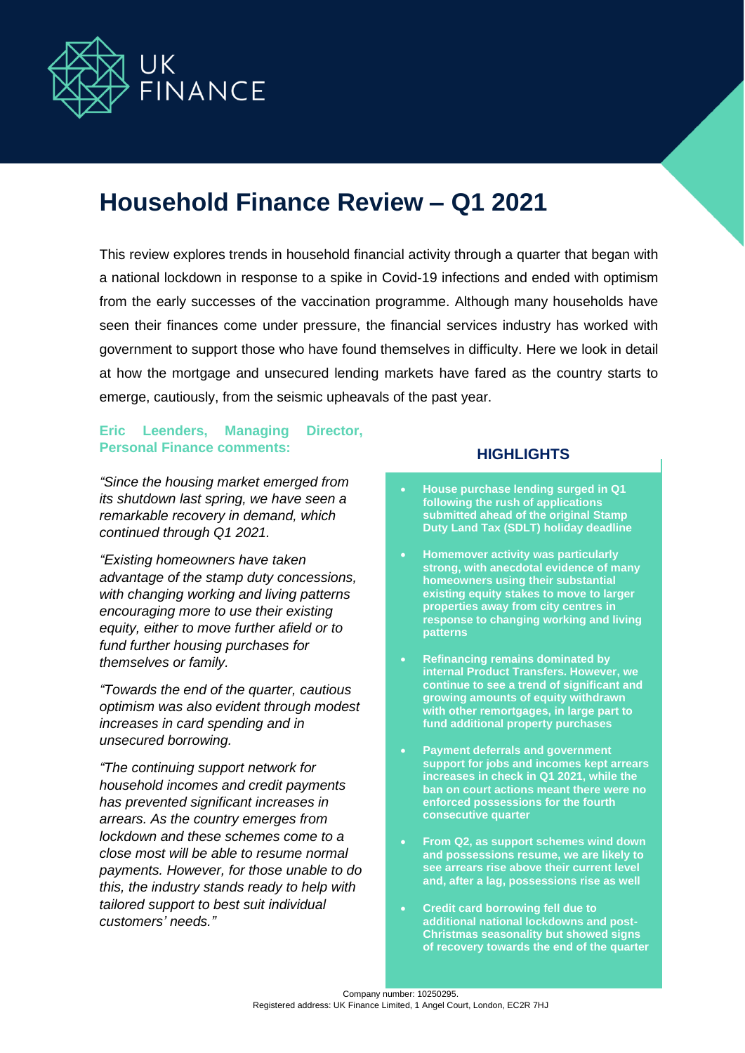

# **Household Finance Review – Q1 2021**

This review explores trends in household financial activity through a quarter that began with a national lockdown in response to a spike in Covid-19 infections and ended with optimism from the early successes of the vaccination programme. Although many households have seen their finances come under pressure, the financial services industry has worked with government to support those who have found themselves in difficulty. Here we look in detail at how the mortgage and unsecured lending markets have fared as the country starts to emerge, cautiously, from the seismic upheavals of the past year.

# **Eric Leenders, Managing Director, Personal Finance comments:**

*"Since the housing market emerged from its shutdown last spring, we have seen a remarkable recovery in demand, which continued through Q1 2021.* 

*"Existing homeowners have taken advantage of the stamp duty concessions, with changing working and living patterns encouraging more to use their existing equity, either to move further afield or to fund further housing purchases for themselves or family.*

*"Towards the end of the quarter, cautious optimism was also evident through modest increases in card spending and in unsecured borrowing.*

*"The continuing support network for household incomes and credit payments has prevented significant increases in arrears. As the country emerges from lockdown and these schemes come to a close most will be able to resume normal payments. However, for those unable to do this, the industry stands ready to help with tailored support to best suit individual customers' needs."*

## **HIGHLIGHTS**

- **House purchase lending surged in Q1 following the rush of applications submitted ahead of the original Stamp Duty Land Tax (SDLT) holiday deadline**
- **Homemover activity was particularly strong, with anecdotal evidence of many homeowners using their substantial existing equity stakes to move to larger properties away from city centres in response to changing working and living patterns**
- **Refinancing remains dominated by internal Product Transfers. However, we continue to see a trend of significant and growing amounts of equity withdrawn with other remortgages, in large part to fund additional property purchases**
- **Payment deferrals and government support for jobs and incomes kept arrears increases in check in Q1 2021, while the ban on court actions meant there were no enforced possessions for the fourth consecutive quarter**
- **From Q2, as support schemes wind down and possessions resume, we are likely to see arrears rise above their current level and, after a lag, possessions rise as well**
- **Credit card borrowing fell due to additional national lockdowns and post-Christmas seasonality but showed signs of recovery towards the end of the quarter**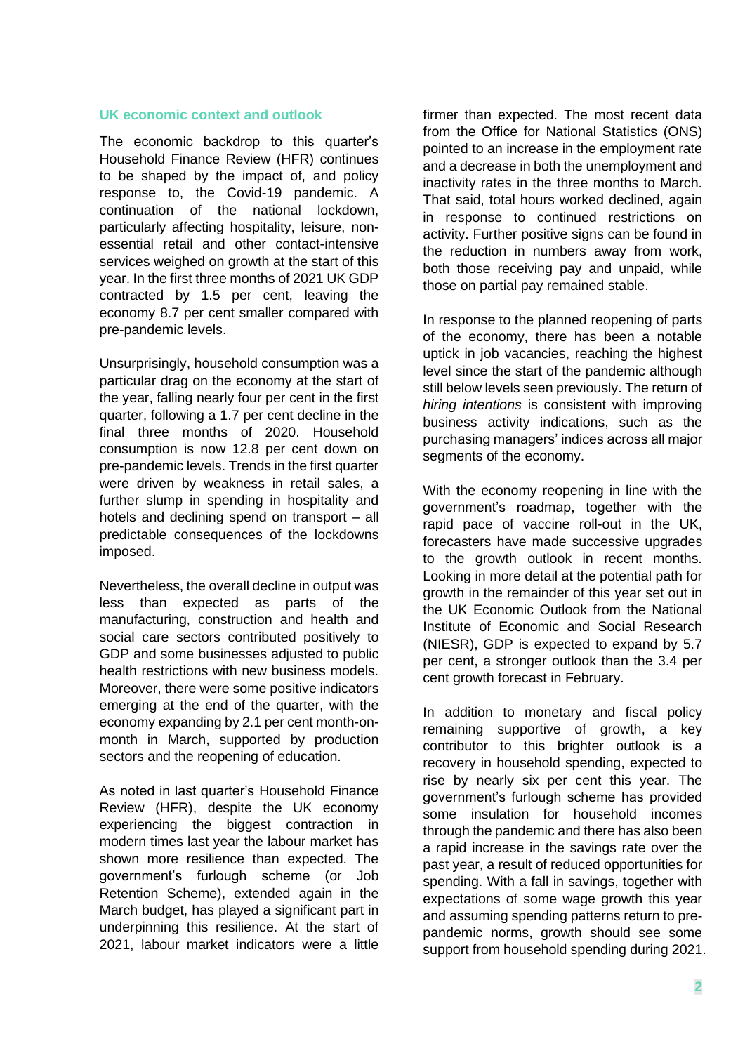# **UK economic context and outlook**

The economic backdrop to this quarter's Household Finance Review (HFR) continues to be shaped by the impact of, and policy response to, the Covid-19 pandemic. A continuation of the national lockdown, particularly affecting hospitality, leisure, nonessential retail and other contact-intensive services weighed on growth at the start of this year. In the first three months of 2021 UK GDP contracted by 1.5 per cent, leaving the economy 8.7 per cent smaller compared with pre-pandemic levels.

Unsurprisingly, household consumption was a particular drag on the economy at the start of the year, falling nearly four per cent in the first quarter, following a 1.7 per cent decline in the final three months of 2020. Household consumption is now 12.8 per cent down on pre-pandemic levels. Trends in the first quarter were driven by weakness in retail sales, a further slump in spending in hospitality and hotels and declining spend on transport – all predictable consequences of the lockdowns imposed.

Nevertheless, the overall decline in output was less than expected as parts of the manufacturing, construction and health and social care sectors contributed positively to GDP and some businesses adjusted to public health restrictions with new business models. Moreover, there were some positive indicators emerging at the end of the quarter, with the economy expanding by 2.1 per cent month-onmonth in March, supported by production sectors and the reopening of education.

As noted in last quarter's Household Finance Review (HFR), despite the UK economy experiencing the biggest contraction in modern times last year the labour market has shown more resilience than expected. The government's furlough scheme (or Job Retention Scheme), extended again in the March budget, has played a significant part in underpinning this resilience. At the start of 2021, labour market indicators were a little

firmer than expected. The most recent data from the Office for National Statistics (ONS) pointed to an increase in the employment rate and a decrease in both the unemployment and inactivity rates in the three months to March. That said, total hours worked declined, again in response to continued restrictions on activity. Further positive signs can be found in the reduction in numbers away from work, both those receiving pay and unpaid, while those on partial pay remained stable.

In response to the planned reopening of parts of the economy, there has been a notable uptick in job vacancies, reaching the highest level since the start of the pandemic although still below levels seen previously. The return of *hiring intentions* is consistent with improving business activity indications, such as the purchasing managers' indices across all major segments of the economy.

With the economy reopening in line with the government's roadmap, together with the rapid pace of vaccine roll-out in the UK, forecasters have made successive upgrades to the growth outlook in recent months. Looking in more detail at the potential path for growth in the remainder of this year set out in the UK Economic Outlook from the National Institute of Economic and Social Research (NIESR), GDP is expected to expand by 5.7 per cent, a stronger outlook than the 3.4 per cent growth forecast in February.

In addition to monetary and fiscal policy remaining supportive of growth, a key contributor to this brighter outlook is a recovery in household spending, expected to rise by nearly six per cent this year. The government's furlough scheme has provided some insulation for household incomes through the pandemic and there has also been a rapid increase in the savings rate over the past year, a result of reduced opportunities for spending. With a fall in savings, together with expectations of some wage growth this year and assuming spending patterns return to prepandemic norms, growth should see some support from household spending during 2021.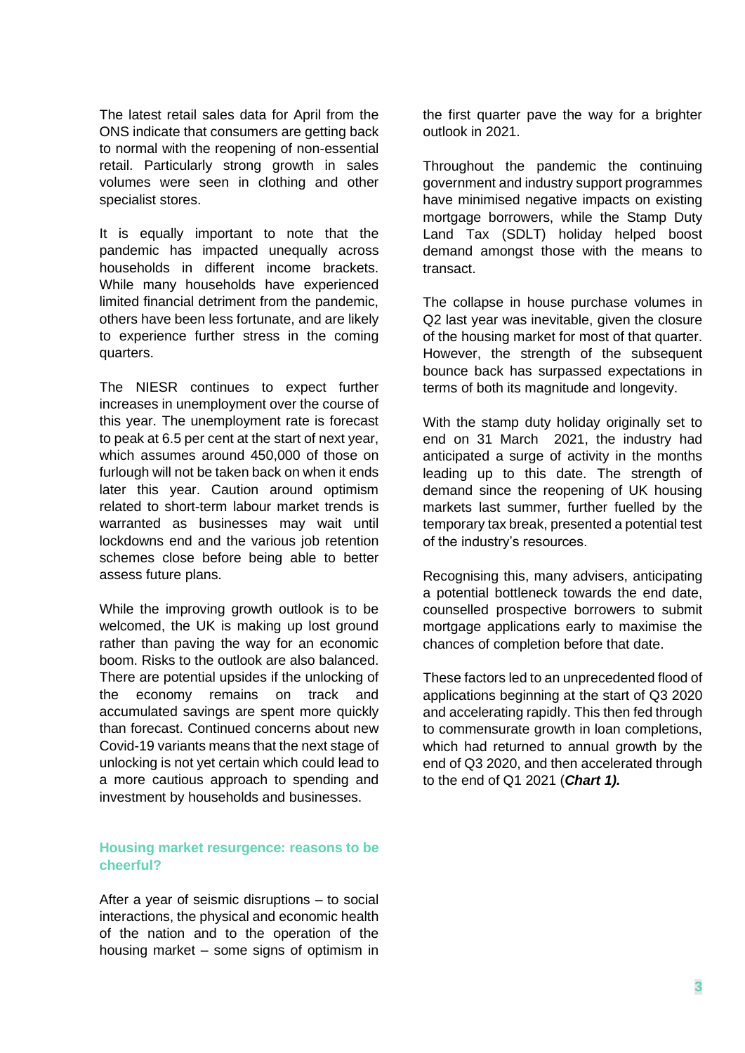The latest retail sales data for April from the ONS indicate that consumers are getting back to normal with the reopening of non-essential retail. Particularly strong growth in sales volumes were seen in clothing and other specialist stores.

It is equally important to note that the pandemic has impacted unequally across households in different income brackets. While many households have experienced limited financial detriment from the pandemic, others have been less fortunate, and are likely to experience further stress in the coming quarters.

The NIESR continues to expect further increases in unemployment over the course of this year. The unemployment rate is forecast to peak at 6.5 per cent at the start of next year, which assumes around 450,000 of those on furlough will not be taken back on when it ends later this year. Caution around optimism related to short-term labour market trends is warranted as businesses may wait until lockdowns end and the various job retention schemes close before being able to better assess future plans.

While the improving growth outlook is to be welcomed, the UK is making up lost ground rather than paving the way for an economic boom. Risks to the outlook are also balanced. There are potential upsides if the unlocking of the economy remains on track and accumulated savings are spent more quickly than forecast. Continued concerns about new Covid-19 variants means that the next stage of unlocking is not yet certain which could lead to a more cautious approach to spending and investment by households and businesses.

## **Housing market resurgence: reasons to be cheerful?**

After a year of seismic disruptions – to social interactions, the physical and economic health of the nation and to the operation of the housing market – some signs of optimism in the first quarter pave the way for a brighter outlook in 2021.

Throughout the pandemic the continuing government and industry support programmes have minimised negative impacts on existing mortgage borrowers, while the Stamp Duty Land Tax (SDLT) holiday helped boost demand amongst those with the means to transact.

The collapse in house purchase volumes in Q2 last year was inevitable, given the closure of the housing market for most of that quarter. However, the strength of the subsequent bounce back has surpassed expectations in terms of both its magnitude and longevity.

With the stamp duty holiday originally set to end on 31 March 2021, the industry had anticipated a surge of activity in the months leading up to this date. The strength of demand since the reopening of UK housing markets last summer, further fuelled by the temporary tax break, presented a potential test of the industry's resources.

Recognising this, many advisers, anticipating a potential bottleneck towards the end date, counselled prospective borrowers to submit mortgage applications early to maximise the chances of completion before that date.

These factors led to an unprecedented flood of applications beginning at the start of Q3 2020 and accelerating rapidly. This then fed through to commensurate growth in loan completions, which had returned to annual growth by the end of Q3 2020, and then accelerated through to the end of Q1 2021 (*Chart 1).*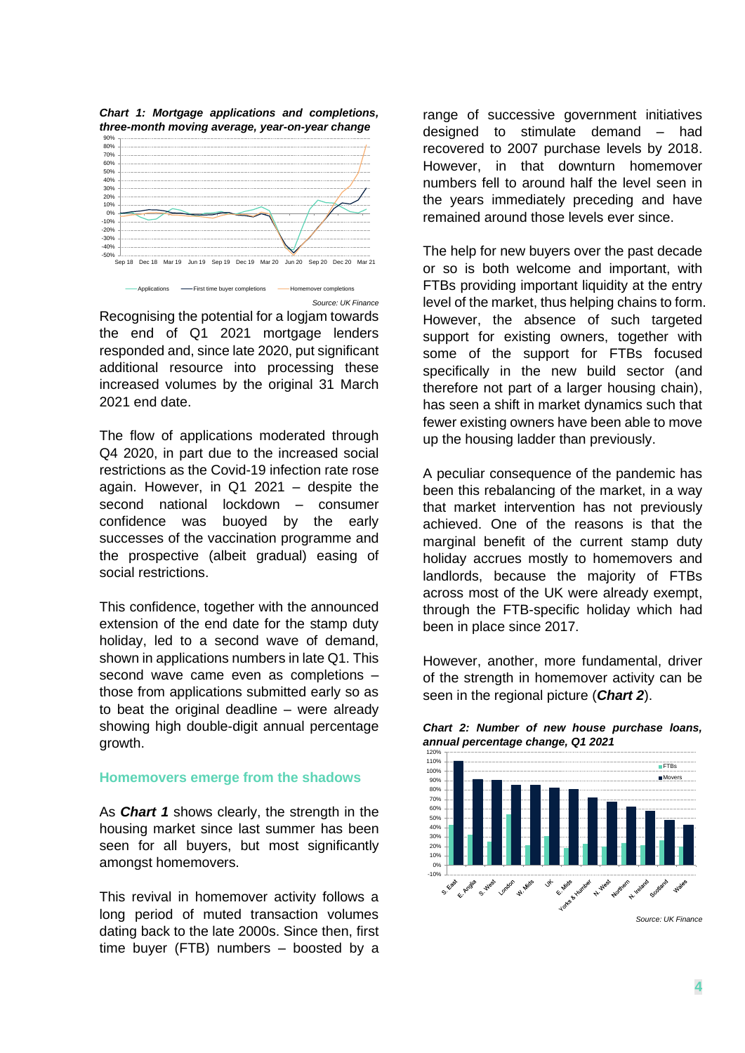

Recognising the potential for a logjam towards the end of Q1 2021 mortgage lenders responded and, since late 2020, put significant additional resource into processing these increased volumes by the original 31 March 2021 end date.

The flow of applications moderated through Q4 2020, in part due to the increased social restrictions as the Covid-19 infection rate rose again. However, in Q1 2021 – despite the second national lockdown – consumer confidence was buoyed by the early successes of the vaccination programme and the prospective (albeit gradual) easing of social restrictions.

This confidence, together with the announced extension of the end date for the stamp duty holiday, led to a second wave of demand, shown in applications numbers in late Q1. This second wave came even as completions – those from applications submitted early so as to beat the original deadline – were already showing high double-digit annual percentage growth.

#### **Homemovers emerge from the shadows**

As *Chart 1* shows clearly, the strength in the housing market since last summer has been seen for all buyers, but most significantly amongst homemovers.

This revival in homemover activity follows a long period of muted transaction volumes dating back to the late 2000s. Since then, first time buyer (FTB) numbers – boosted by a

range of successive government initiatives designed to stimulate demand – had recovered to 2007 purchase levels by 2018. However, in that downturn homemover numbers fell to around half the level seen in the years immediately preceding and have remained around those levels ever since.

The help for new buyers over the past decade or so is both welcome and important, with FTBs providing important liquidity at the entry level of the market, thus helping chains to form. However, the absence of such targeted support for existing owners, together with some of the support for FTBs focused specifically in the new build sector (and therefore not part of a larger housing chain), has seen a shift in market dynamics such that fewer existing owners have been able to move up the housing ladder than previously.

A peculiar consequence of the pandemic has been this rebalancing of the market, in a way that market intervention has not previously achieved. One of the reasons is that the marginal benefit of the current stamp duty holiday accrues mostly to homemovers and landlords, because the majority of FTBs across most of the UK were already exempt, through the FTB-specific holiday which had been in place since 2017.

However, another, more fundamental, driver of the strength in homemover activity can be seen in the regional picture (*Chart 2*).





*Source: UK Finance*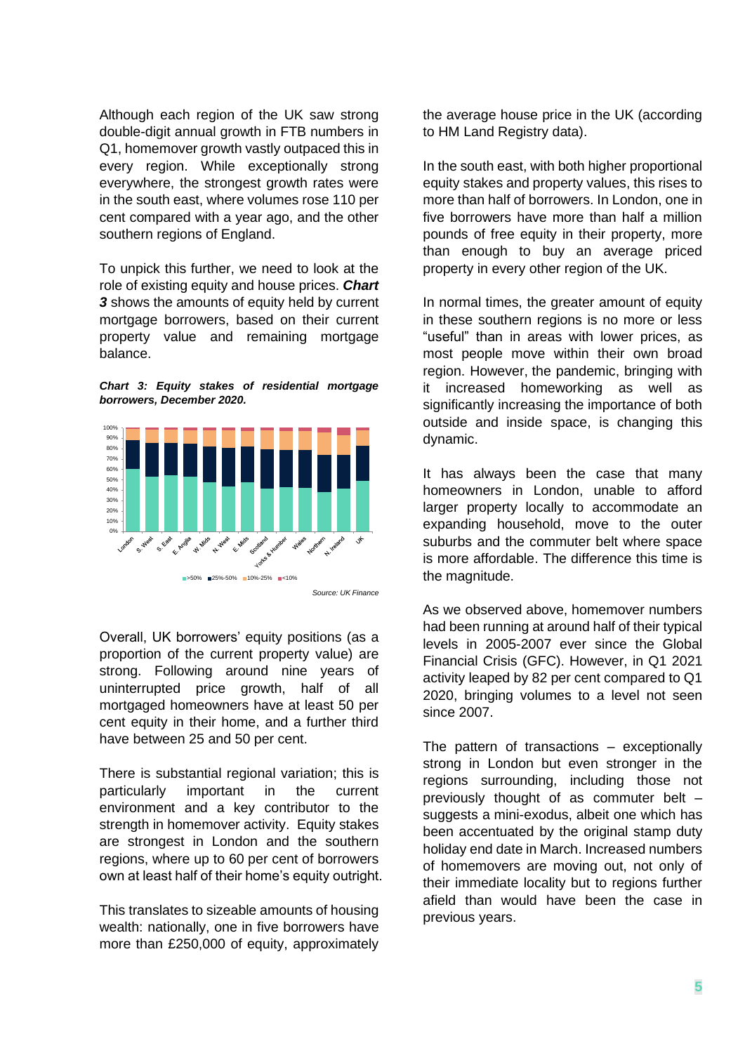Although each region of the UK saw strong double-digit annual growth in FTB numbers in Q1, homemover growth vastly outpaced this in every region. While exceptionally strong everywhere, the strongest growth rates were in the south east, where volumes rose 110 per cent compared with a year ago, and the other southern regions of England.

To unpick this further, we need to look at the role of existing equity and house prices. *Chart 3* shows the amounts of equity held by current mortgage borrowers, based on their current property value and remaining mortgage balance.

*Chart 3: Equity stakes of residential mortgage borrowers, December 2020.*



Overall, UK borrowers' equity positions (as a proportion of the current property value) are strong. Following around nine years of uninterrupted price growth, half of all mortgaged homeowners have at least 50 per cent equity in their home, and a further third have between 25 and 50 per cent.

There is substantial regional variation; this is particularly important in the current environment and a key contributor to the strength in homemover activity. Equity stakes are strongest in London and the southern regions, where up to 60 per cent of borrowers own at least half of their home's equity outright.

This translates to sizeable amounts of housing wealth: nationally, one in five borrowers have more than £250,000 of equity, approximately

the average house price in the UK (according to HM Land Registry data).

In the south east, with both higher proportional equity stakes and property values, this rises to more than half of borrowers. In London, one in five borrowers have more than half a million pounds of free equity in their property, more than enough to buy an average priced property in every other region of the UK.

In normal times, the greater amount of equity in these southern regions is no more or less "useful" than in areas with lower prices, as most people move within their own broad region. However, the pandemic, bringing with it increased homeworking as well as significantly increasing the importance of both outside and inside space, is changing this dynamic.

It has always been the case that many homeowners in London, unable to afford larger property locally to accommodate an expanding household, move to the outer suburbs and the commuter belt where space is more affordable. The difference this time is the magnitude.

As we observed above, homemover numbers had been running at around half of their typical levels in 2005-2007 ever since the Global Financial Crisis (GFC). However, in Q1 2021 activity leaped by 82 per cent compared to Q1 2020, bringing volumes to a level not seen since 2007.

The pattern of transactions – exceptionally strong in London but even stronger in the regions surrounding, including those not previously thought of as commuter belt – suggests a mini-exodus, albeit one which has been accentuated by the original stamp duty holiday end date in March. Increased numbers of homemovers are moving out, not only of their immediate locality but to regions further afield than would have been the case in previous years.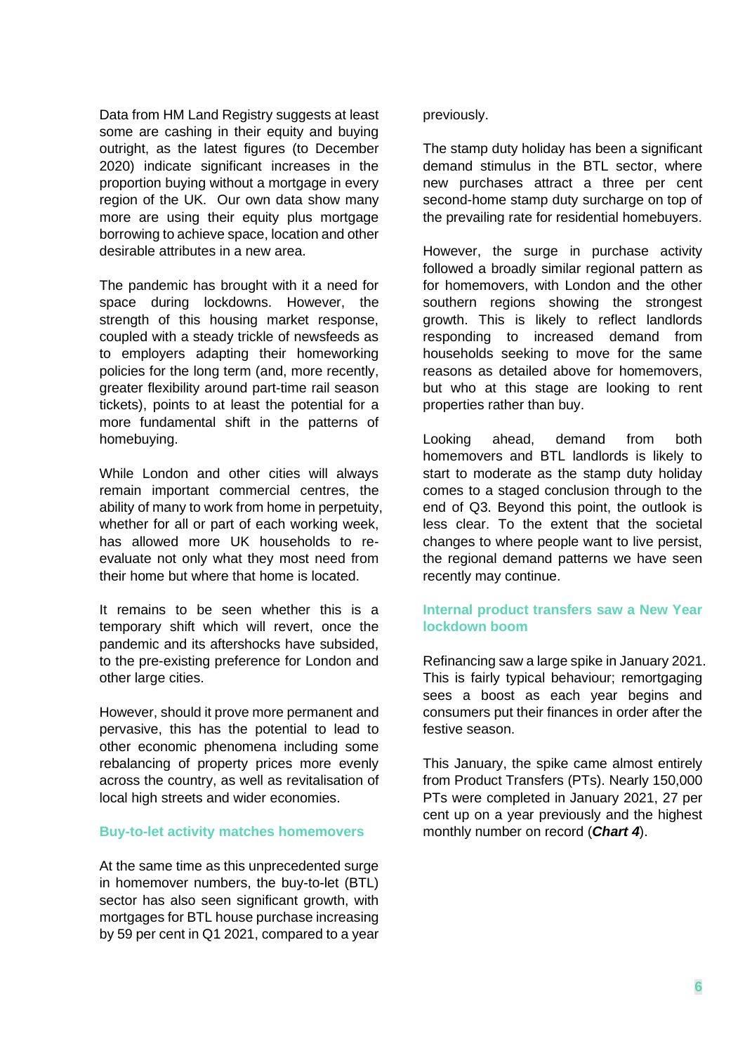Data from HM Land Registry suggests at least some are cashing in their equity and buying outright, as the latest figures (to December 2020) indicate significant increases in the proportion buying without a mortgage in every region of the UK. Our own data show many more are using their equity plus mortgage borrowing to achieve space, location and other desirable attributes in a new area.

The pandemic has brought with it a need for space during lockdowns. However, the strength of this housing market response, coupled with a steady trickle of newsfeeds as to employers adapting their homeworking policies for the long term (and, more recently, greater flexibility around part-time rail season tickets), points to at least the potential for a more fundamental shift in the patterns of homebuying.

While London and other cities will always remain important commercial centres, the ability of many to work from home in perpetuity, whether for all or part of each working week, has allowed more UK households to reevaluate not only what they most need from their home but where that home is located.

It remains to be seen whether this is a temporary shift which will revert, once the pandemic and its aftershocks have subsided, to the pre-existing preference for London and other large cities.

However, should it prove more permanent and pervasive, this has the potential to lead to other economic phenomena including some rebalancing of property prices more evenly across the country, as well as revitalisation of local high streets and wider economies.

## **Buy-to-let activity matches homemovers**

At the same time as this unprecedented surge in homemover numbers, the buy-to-let (BTL) sector has also seen significant growth, with mortgages for BTL house purchase increasing by 59 per cent in Q1 2021, compared to a year

## previously.

The stamp duty holiday has been a significant demand stimulus in the BTL sector, where new purchases attract a three per cent second-home stamp duty surcharge on top of the prevailing rate for residential homebuyers.

However, the surge in purchase activity followed a broadly similar regional pattern as for homemovers, with London and the other southern regions showing the strongest growth. This is likely to reflect landlords responding to increased demand from households seeking to move for the same reasons as detailed above for homemovers, but who at this stage are looking to rent properties rather than buy.

Looking ahead, demand from both homemovers and BTL landlords is likely to start to moderate as the stamp duty holiday comes to a staged conclusion through to the end of Q3. Beyond this point, the outlook is less clear. To the extent that the societal changes to where people want to live persist, the regional demand patterns we have seen recently may continue.

# **Internal product transfers saw a New Year lockdown boom**

Refinancing saw a large spike in January 2021. This is fairly typical behaviour; remortgaging sees a boost as each year begins and consumers put their finances in order after the festive season.

This January, the spike came almost entirely from Product Transfers (PTs). Nearly 150,000 PTs were completed in January 2021, 27 per cent up on a year previously and the highest monthly number on record (*Chart 4*).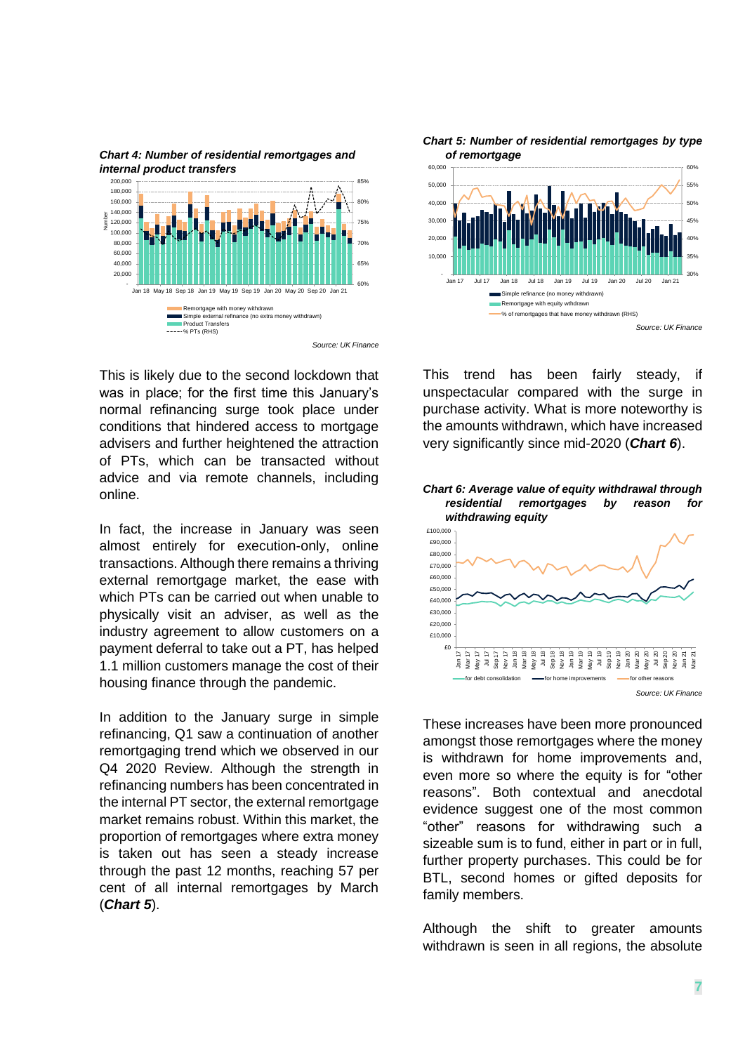

*Chart 4: Number of residential remortgages and internal product transfers*

This is likely due to the second lockdown that was in place; for the first time this January's normal refinancing surge took place under conditions that hindered access to mortgage advisers and further heightened the attraction of PTs, which can be transacted without advice and via remote channels, including online.

In fact, the increase in January was seen almost entirely for execution-only, online transactions. Although there remains a thriving external remortgage market, the ease with which PTs can be carried out when unable to physically visit an adviser, as well as the industry agreement to allow customers on a payment deferral to take out a PT, has helped 1.1 million customers manage the cost of their housing finance through the pandemic.

In addition to the January surge in simple refinancing, Q1 saw a continuation of another remortgaging trend which we observed in our Q4 2020 Review. Although the strength in refinancing numbers has been concentrated in the internal PT sector, the external remortgage market remains robust. Within this market, the proportion of remortgages where extra money is taken out has seen a steady increase through the past 12 months, reaching 57 per cent of all internal remortgages by March (*Chart 5*).

*Chart 5: Number of residential remortgages by type of remortgage*



This trend has been fairly steady, if unspectacular compared with the surge in purchase activity. What is more noteworthy is the amounts withdrawn, which have increased very significantly since mid-2020 (*Chart 6*).



These increases have been more pronounced amongst those remortgages where the money is withdrawn for home improvements and, even more so where the equity is for "other reasons". Both contextual and anecdotal evidence suggest one of the most common "other" reasons for withdrawing such a sizeable sum is to fund, either in part or in full, further property purchases. This could be for BTL, second homes or gifted deposits for family members.

Although the shift to greater amounts withdrawn is seen in all regions, the absolute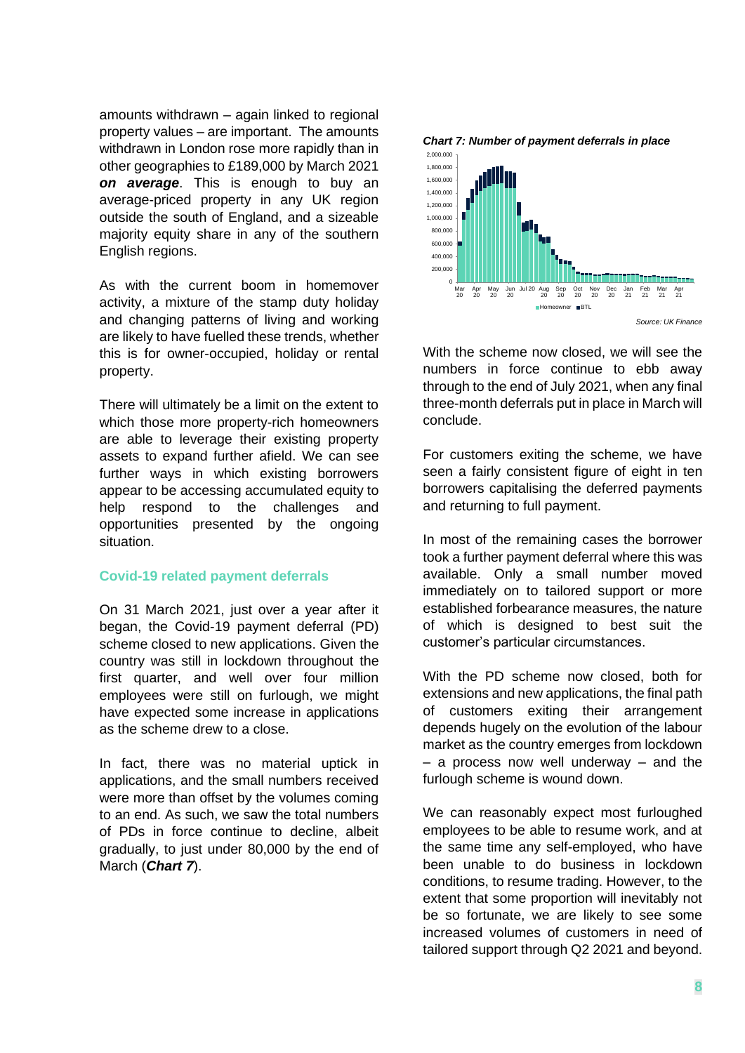amounts withdrawn – again linked to regional property values – are important. The amounts withdrawn in London rose more rapidly than in other geographies to £189,000 by March 2021 *on average*. This is enough to buy an average-priced property in any UK region outside the south of England, and a sizeable majority equity share in any of the southern English regions.

As with the current boom in homemover activity, a mixture of the stamp duty holiday and changing patterns of living and working are likely to have fuelled these trends, whether this is for owner-occupied, holiday or rental property.

There will ultimately be a limit on the extent to which those more property-rich homeowners are able to leverage their existing property assets to expand further afield. We can see further ways in which existing borrowers appear to be accessing accumulated equity to help respond to the challenges and opportunities presented by the ongoing situation.

#### **Covid-19 related payment deferrals**

On 31 March 2021, just over a year after it began, the Covid-19 payment deferral (PD) scheme closed to new applications. Given the country was still in lockdown throughout the first quarter, and well over four million employees were still on furlough, we might have expected some increase in applications as the scheme drew to a close.

In fact, there was no material uptick in applications, and the small numbers received were more than offset by the volumes coming to an end. As such, we saw the total numbers of PDs in force continue to decline, albeit gradually, to just under 80,000 by the end of March (*Chart 7*).



With the scheme now closed, we will see the numbers in force continue to ebb away through to the end of July 2021, when any final three-month deferrals put in place in March will conclude.

For customers exiting the scheme, we have seen a fairly consistent figure of eight in ten borrowers capitalising the deferred payments and returning to full payment.

In most of the remaining cases the borrower took a further payment deferral where this was available. Only a small number moved immediately on to tailored support or more established forbearance measures, the nature of which is designed to best suit the customer's particular circumstances.

With the PD scheme now closed, both for extensions and new applications, the final path of customers exiting their arrangement depends hugely on the evolution of the labour market as the country emerges from lockdown – a process now well underway – and the furlough scheme is wound down.

We can reasonably expect most furloughed employees to be able to resume work, and at the same time any self-employed, who have been unable to do business in lockdown conditions, to resume trading. However, to the extent that some proportion will inevitably not be so fortunate, we are likely to see some increased volumes of customers in need of tailored support through Q2 2021 and beyond.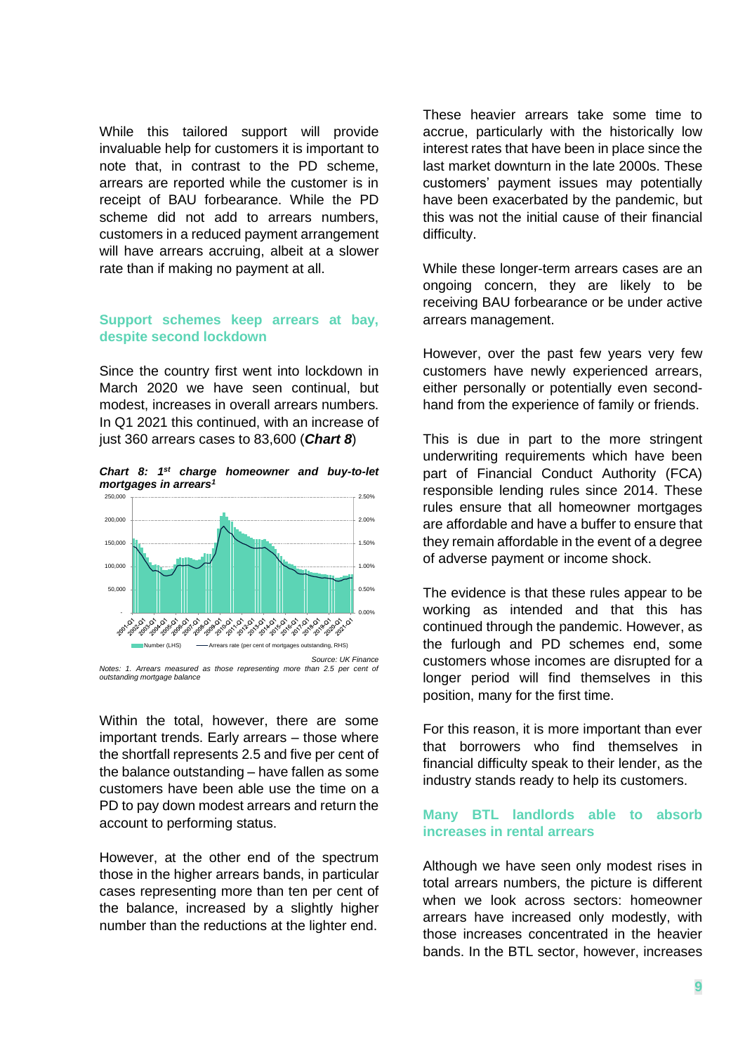While this tailored support will provide invaluable help for customers it is important to note that, in contrast to the PD scheme, arrears are reported while the customer is in receipt of BAU forbearance. While the PD scheme did not add to arrears numbers, customers in a reduced payment arrangement will have arrears accruing, albeit at a slower rate than if making no payment at all.

#### **Support schemes keep arrears at bay, despite second lockdown**

Since the country first went into lockdown in March 2020 we have seen continual, but modest, increases in overall arrears numbers. In Q1 2021 this continued, with an increase of just 360 arrears cases to 83,600 (*Chart 8*)

*Chart 8: 1st charge homeowner and buy-to-let mortgages in arrears<sup>1</sup>*



*Notes: 1. Arrears measured as those representing more than 2.5 per cent of outstanding mortgage balance*

Within the total, however, there are some important trends. Early arrears – those where the shortfall represents 2.5 and five per cent of the balance outstanding – have fallen as some customers have been able use the time on a PD to pay down modest arrears and return the account to performing status.

However, at the other end of the spectrum those in the higher arrears bands, in particular cases representing more than ten per cent of the balance, increased by a slightly higher number than the reductions at the lighter end.

These heavier arrears take some time to accrue, particularly with the historically low interest rates that have been in place since the last market downturn in the late 2000s. These customers' payment issues may potentially have been exacerbated by the pandemic, but this was not the initial cause of their financial difficulty.

While these longer-term arrears cases are an ongoing concern, they are likely to be receiving BAU forbearance or be under active arrears management.

However, over the past few years very few customers have newly experienced arrears, either personally or potentially even secondhand from the experience of family or friends.

This is due in part to the more stringent underwriting requirements which have been part of Financial Conduct Authority (FCA) responsible lending rules since 2014. These rules ensure that all homeowner mortgages are affordable and have a buffer to ensure that they remain affordable in the event of a degree of adverse payment or income shock.

The evidence is that these rules appear to be working as intended and that this has continued through the pandemic. However, as the furlough and PD schemes end, some customers whose incomes are disrupted for a longer period will find themselves in this position, many for the first time.

For this reason, it is more important than ever that borrowers who find themselves in financial difficulty speak to their lender, as the industry stands ready to help its customers.

# **Many BTL landlords able to absorb increases in rental arrears**

Although we have seen only modest rises in total arrears numbers, the picture is different when we look across sectors: homeowner arrears have increased only modestly, with those increases concentrated in the heavier bands. In the BTL sector, however, increases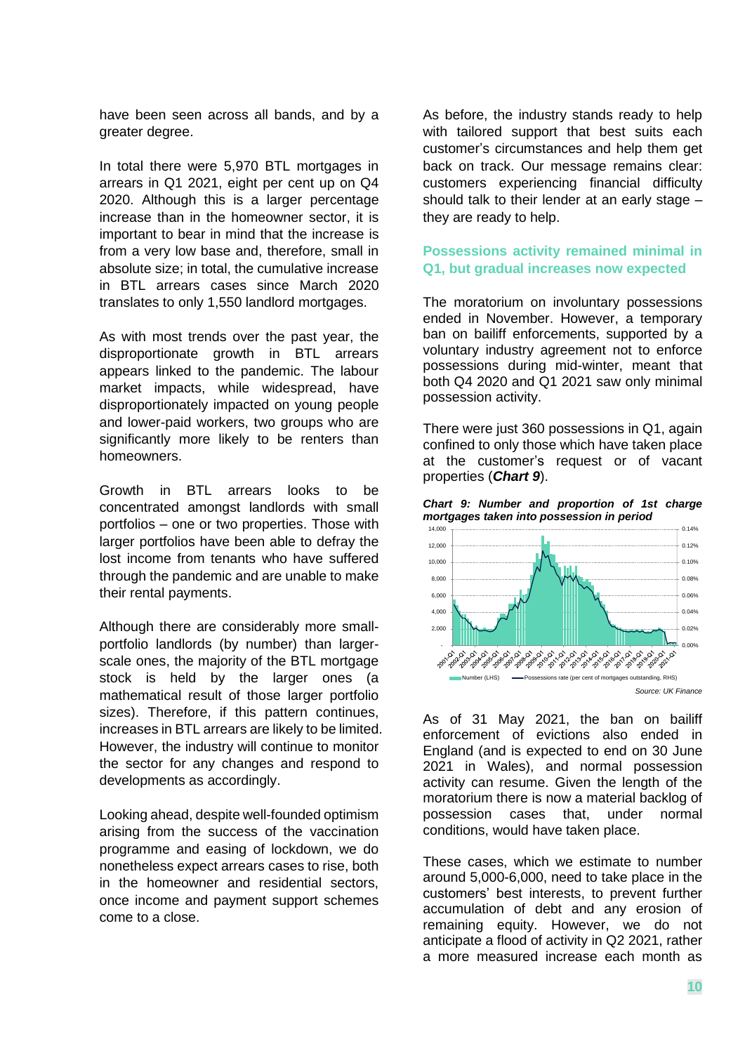have been seen across all bands, and by a greater degree.

In total there were 5,970 BTL mortgages in arrears in Q1 2021, eight per cent up on Q4 2020. Although this is a larger percentage increase than in the homeowner sector, it is important to bear in mind that the increase is from a very low base and, therefore, small in absolute size; in total, the cumulative increase in BTL arrears cases since March 2020 translates to only 1,550 landlord mortgages.

As with most trends over the past year, the disproportionate growth in BTL arrears appears linked to the pandemic. The labour market impacts, while widespread, have disproportionately impacted on young people and lower-paid workers, two groups who are significantly more likely to be renters than homeowners.

Growth in BTL arrears looks to be concentrated amongst landlords with small portfolios – one or two properties. Those with larger portfolios have been able to defray the lost income from tenants who have suffered through the pandemic and are unable to make their rental payments.

Although there are considerably more smallportfolio landlords (by number) than largerscale ones, the majority of the BTL mortgage stock is held by the larger ones (a mathematical result of those larger portfolio sizes). Therefore, if this pattern continues, increases in BTL arrears are likely to be limited. However, the industry will continue to monitor the sector for any changes and respond to developments as accordingly.

Looking ahead, despite well-founded optimism arising from the success of the vaccination programme and easing of lockdown, we do nonetheless expect arrears cases to rise, both in the homeowner and residential sectors, once income and payment support schemes come to a close.

As before, the industry stands ready to help with tailored support that best suits each customer's circumstances and help them get back on track. Our message remains clear: customers experiencing financial difficulty should talk to their lender at an early stage – they are ready to help.

# **Possessions activity remained minimal in Q1, but gradual increases now expected**

The moratorium on involuntary possessions ended in November. However, a temporary ban on bailiff enforcements, supported by a voluntary industry agreement not to enforce possessions during mid-winter, meant that both Q4 2020 and Q1 2021 saw only minimal possession activity.

There were just 360 possessions in Q1, again confined to only those which have taken place at the customer's request or of vacant properties (*Chart 9*).





As of 31 May 2021, the ban on bailiff enforcement of evictions also ended in England (and is expected to end on 30 June 2021 in Wales), and normal possession activity can resume. Given the length of the moratorium there is now a material backlog of possession cases that, under normal conditions, would have taken place.

These cases, which we estimate to number around 5,000-6,000, need to take place in the customers' best interests, to prevent further accumulation of debt and any erosion of remaining equity. However, we do not anticipate a flood of activity in Q2 2021, rather a more measured increase each month as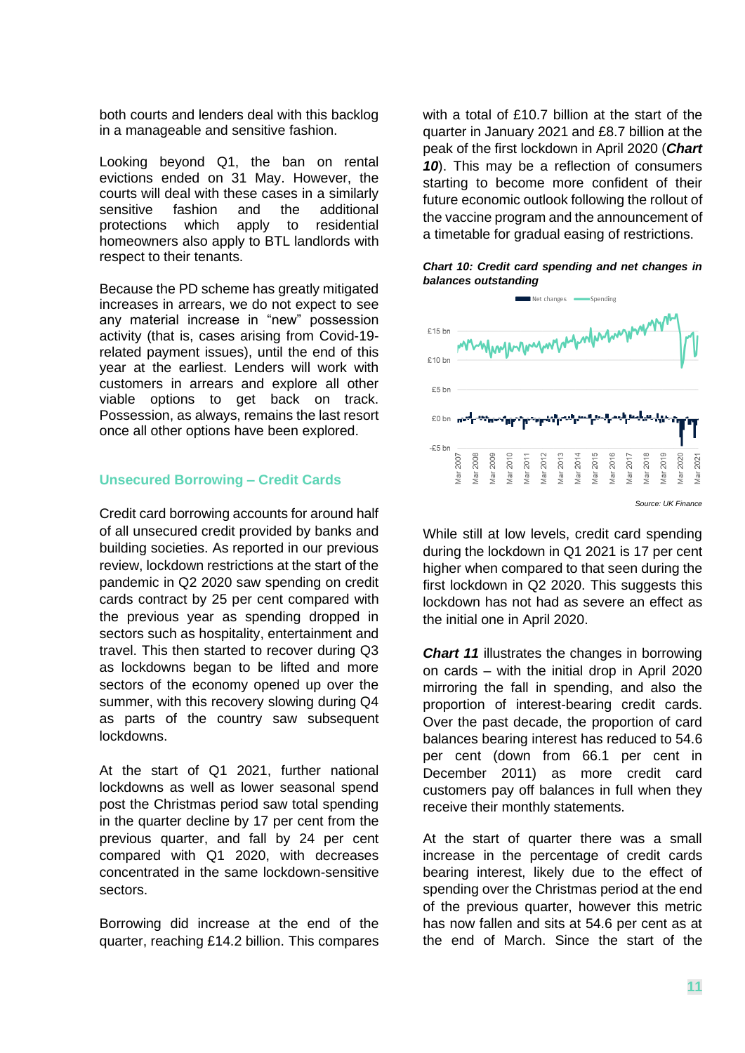both courts and lenders deal with this backlog in a manageable and sensitive fashion.

Looking beyond Q1, the ban on rental evictions ended on 31 May. However, the courts will deal with these cases in a similarly sensitive fashion and the additional protections which apply to residential homeowners also apply to BTL landlords with respect to their tenants.

Because the PD scheme has greatly mitigated increases in arrears, we do not expect to see any material increase in "new" possession activity (that is, cases arising from Covid-19 related payment issues), until the end of this year at the earliest. Lenders will work with customers in arrears and explore all other viable options to get back on track. Possession, as always, remains the last resort once all other options have been explored.

## **Unsecured Borrowing – Credit Cards**

Credit card borrowing accounts for around half of all unsecured credit provided by banks and building societies. As reported in our previous review, lockdown restrictions at the start of the pandemic in Q2 2020 saw spending on credit cards contract by 25 per cent compared with the previous year as spending dropped in sectors such as hospitality, entertainment and travel. This then started to recover during Q3 as lockdowns began to be lifted and more sectors of the economy opened up over the summer, with this recovery slowing during Q4 as parts of the country saw subsequent lockdowns.

At the start of Q1 2021, further national lockdowns as well as lower seasonal spend post the Christmas period saw total spending in the quarter decline by 17 per cent from the previous quarter, and fall by 24 per cent compared with Q1 2020, with decreases concentrated in the same lockdown-sensitive sectors.

Borrowing did increase at the end of the quarter, reaching £14.2 billion. This compares

with a total of £10.7 billion at the start of the quarter in January 2021 and £8.7 billion at the peak of the first lockdown in April 2020 (*Chart 10*). This may be a reflection of consumers starting to become more confident of their future economic outlook following the rollout of the vaccine program and the announcement of a timetable for gradual easing of restrictions.





While still at low levels, credit card spending during the lockdown in Q1 2021 is 17 per cent higher when compared to that seen during the first lockdown in Q2 2020. This suggests this lockdown has not had as severe an effect as the initial one in April 2020.

*Chart 11* illustrates the changes in borrowing on cards – with the initial drop in April 2020 mirroring the fall in spending, and also the proportion of interest-bearing credit cards. Over the past decade, the proportion of card balances bearing interest has reduced to 54.6 per cent (down from 66.1 per cent in December 2011) as more credit card customers pay off balances in full when they receive their monthly statements.

At the start of quarter there was a small increase in the percentage of credit cards bearing interest, likely due to the effect of spending over the Christmas period at the end of the previous quarter, however this metric has now fallen and sits at 54.6 per cent as at the end of March. Since the start of the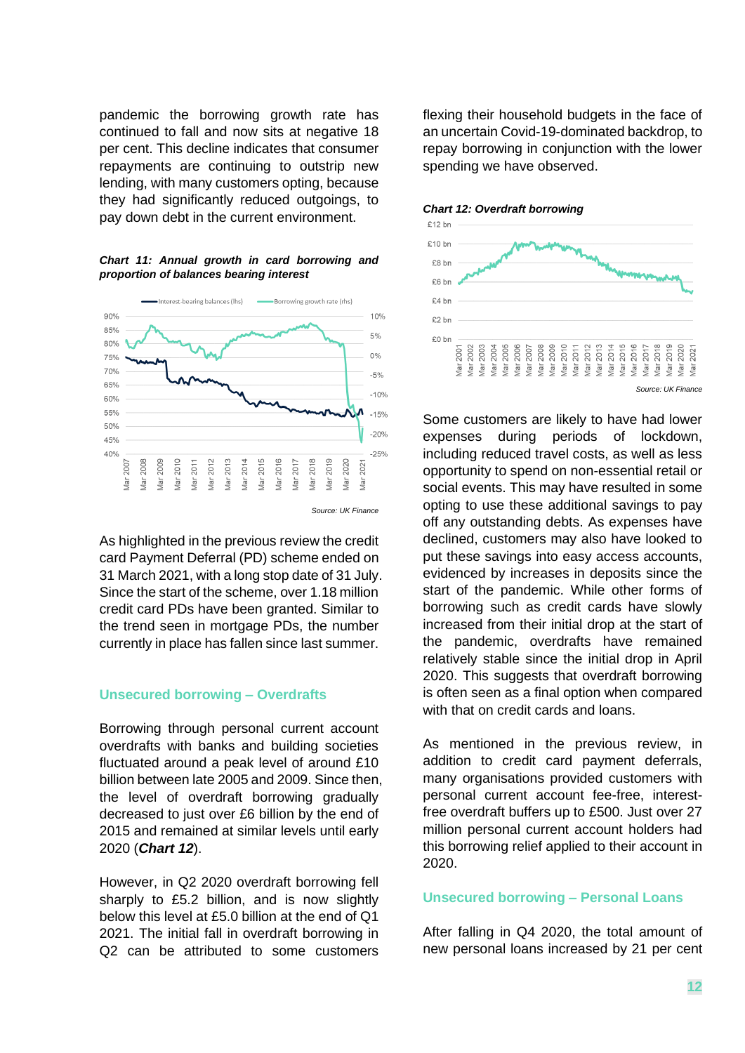pandemic the borrowing growth rate has continued to fall and now sits at negative 18 per cent. This decline indicates that consumer repayments are continuing to outstrip new lending, with many customers opting, because they had significantly reduced outgoings, to pay down debt in the current environment.

*Chart 11: Annual growth in card borrowing and proportion of balances bearing interest*



As highlighted in the previous review the credit card Payment Deferral (PD) scheme ended on 31 March 2021, with a long stop date of 31 July. Since the start of the scheme, over 1.18 million credit card PDs have been granted. Similar to the trend seen in mortgage PDs, the number currently in place has fallen since last summer.

## **Unsecured borrowing – Overdrafts**

Borrowing through personal current account overdrafts with banks and building societies fluctuated around a peak level of around £10 billion between late 2005 and 2009. Since then, the level of overdraft borrowing gradually decreased to just over £6 billion by the end of 2015 and remained at similar levels until early 2020 (*Chart 12*).

However, in Q2 2020 overdraft borrowing fell sharply to £5.2 billion, and is now slightly below this level at £5.0 billion at the end of Q1 2021. The initial fall in overdraft borrowing in Q2 can be attributed to some customers

flexing their household budgets in the face of an uncertain Covid-19-dominated backdrop, to repay borrowing in conjunction with the lower spending we have observed.





Some customers are likely to have had lower expenses during periods of lockdown, including reduced travel costs, as well as less opportunity to spend on non-essential retail or social events. This may have resulted in some opting to use these additional savings to pay off any outstanding debts. As expenses have declined, customers may also have looked to put these savings into easy access accounts, evidenced by increases in deposits since the start of the pandemic. While other forms of borrowing such as credit cards have slowly increased from their initial drop at the start of the pandemic, overdrafts have remained relatively stable since the initial drop in April 2020. This suggests that overdraft borrowing is often seen as a final option when compared with that on credit cards and loans.

As mentioned in the previous review, in addition to credit card payment deferrals, many organisations provided customers with personal current account fee-free, interestfree overdraft buffers up to £500. Just over 27 million personal current account holders had this borrowing relief applied to their account in 2020.

## **Unsecured borrowing – Personal Loans**

After falling in Q4 2020, the total amount of new personal loans increased by 21 per cent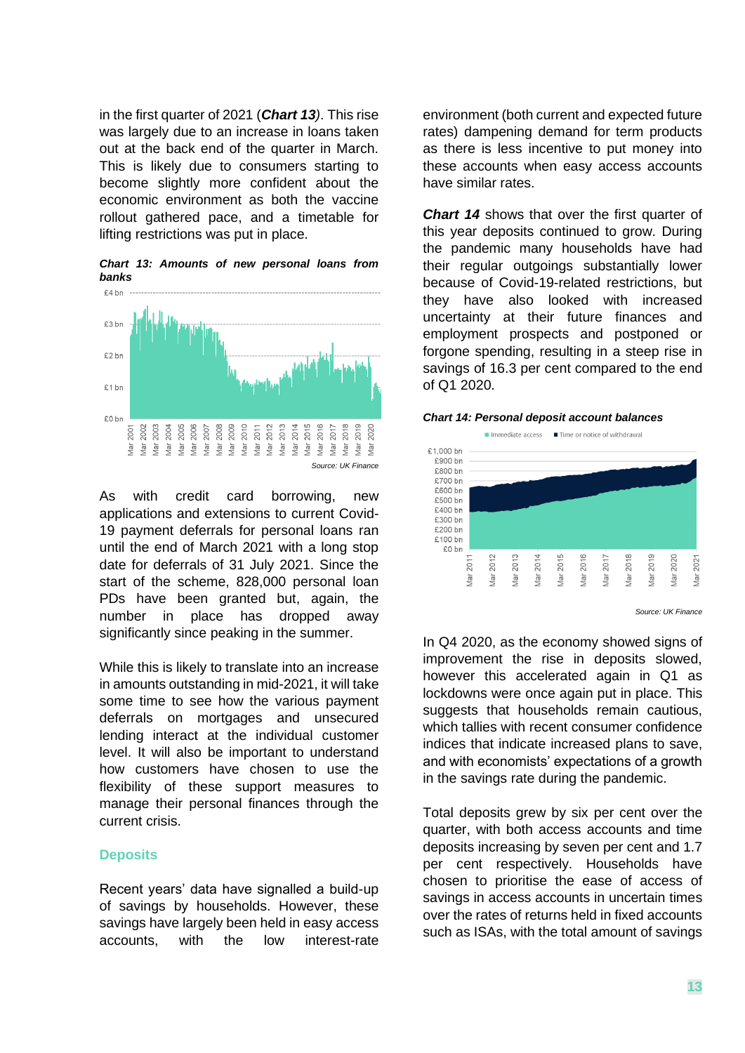in the first quarter of 2021 (*Chart 13)*. This rise was largely due to an increase in loans taken out at the back end of the quarter in March. This is likely due to consumers starting to become slightly more confident about the economic environment as both the vaccine rollout gathered pace, and a timetable for lifting restrictions was put in place.

*Chart 13: Amounts of new personal loans from banks*



As with credit card borrowing, new applications and extensions to current Covid-19 payment deferrals for personal loans ran until the end of March 2021 with a long stop date for deferrals of 31 July 2021. Since the start of the scheme, 828,000 personal loan PDs have been granted but, again, the number in place has dropped away significantly since peaking in the summer.

While this is likely to translate into an increase in amounts outstanding in mid-2021, it will take some time to see how the various payment deferrals on mortgages and unsecured lending interact at the individual customer level. It will also be important to understand how customers have chosen to use the flexibility of these support measures to manage their personal finances through the current crisis.

## **Deposits**

Recent years' data have signalled a build-up of savings by households. However, these savings have largely been held in easy access accounts, with the low interest-rate

environment (both current and expected future rates) dampening demand for term products as there is less incentive to put money into these accounts when easy access accounts have similar rates.

**Chart 14** shows that over the first quarter of this year deposits continued to grow. During the pandemic many households have had their regular outgoings substantially lower because of Covid-19-related restrictions, but they have also looked with increased uncertainty at their future finances and employment prospects and postponed or forgone spending, resulting in a steep rise in savings of 16.3 per cent compared to the end of Q1 2020.





*Source: UK Finance*

In Q4 2020, as the economy showed signs of improvement the rise in deposits slowed, however this accelerated again in Q1 as lockdowns were once again put in place. This suggests that households remain cautious, which tallies with recent consumer confidence indices that indicate increased plans to save, and with economists' expectations of a growth in the savings rate during the pandemic.

Total deposits grew by six per cent over the quarter, with both access accounts and time deposits increasing by seven per cent and 1.7 per cent respectively. Households have chosen to prioritise the ease of access of savings in access accounts in uncertain times over the rates of returns held in fixed accounts such as ISAs, with the total amount of savings